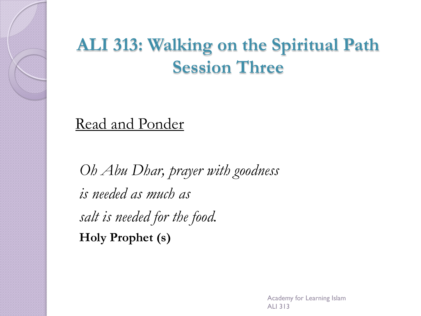#### **ALI 313: Walking on the Spiritual Path Session Three**

Read and Ponder

*Oh Abu Dhar, prayer with goodness is needed as much as salt is needed for the food.* **Holy Prophet (s)**

> Academy for Learning Islam ALI 313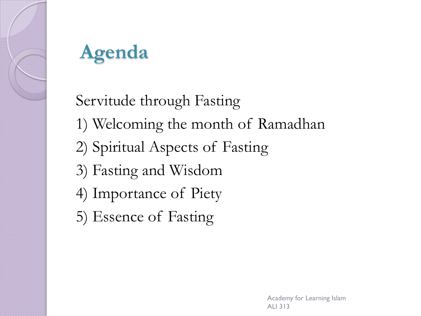

## **Agenda**

Servitude through Fasting 1) Welcoming the month of Ramadhan 2) Spiritual Aspects of Fasting 3) Fasting and Wisdom 4) Importance of Piety 5) Essence of Fasting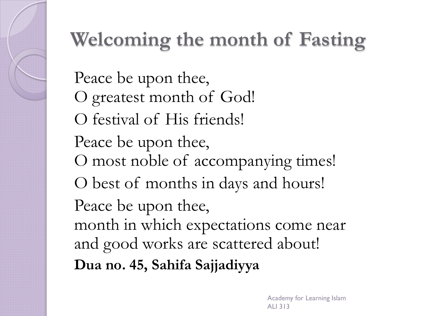# **Welcoming the month of Fasting**

Peace be upon thee, O greatest month of God! O festival of His friends! Peace be upon thee, O most noble of accompanying times! O best of months in days and hours! Peace be upon thee, month in which expectations come near and good works are scattered about! **Dua no. 45, Sahifa Sajjadiyya**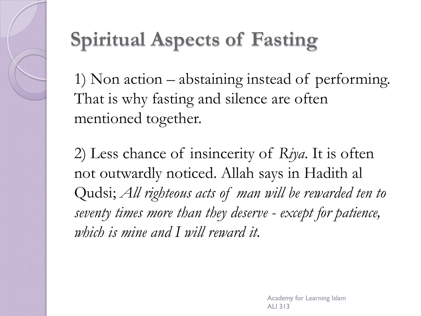

#### **Spiritual Aspects of Fasting**

1) Non action – abstaining instead of performing. That is why fasting and silence are often mentioned together.

2) Less chance of insincerity of *Riya*. It is often not outwardly noticed. Allah says in Hadith al Qudsi; *All righteous acts of man will be rewarded ten to seventy times more than they deserve - except for patience, which is mine and I will reward it.*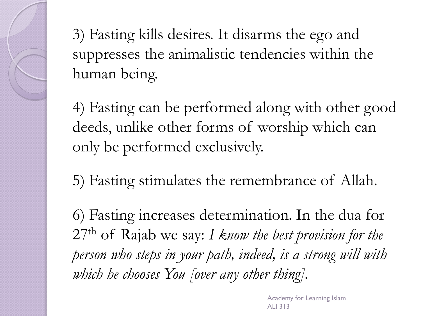3) Fasting kills desires. It disarms the ego and suppresses the animalistic tendencies within the human being.

4) Fasting can be performed along with other good deeds, unlike other forms of worship which can only be performed exclusively.

5) Fasting stimulates the remembrance of Allah.

6) Fasting increases determination. In the dua for 27th of Rajab we say: *I know the best provision for the person who steps in your path, indeed, is a strong will with which he chooses You [over any other thing].*

> Academy for Learning Islam ALI 313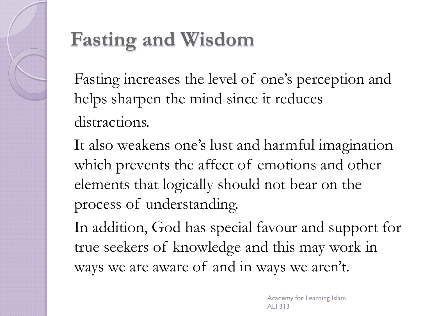

#### **Fasting and Wisdom**

Fasting increases the level of one's perception and helps sharpen the mind since it reduces distractions.

It also weakens one's lust and harmful imagination which prevents the affect of emotions and other elements that logically should not bear on the process of understanding.

In addition, God has special favour and support for true seekers of knowledge and this may work in ways we are aware of and in ways we aren't.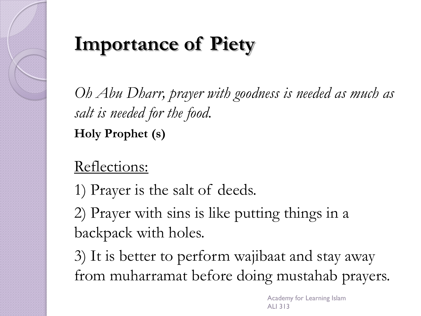## **Importance of Piety**

*Oh Abu Dharr, prayer with goodness is needed as much as salt is needed for the food.* **Holy Prophet (s)**

#### Reflections:

1) Prayer is the salt of deeds.

2) Prayer with sins is like putting things in a backpack with holes.

3) It is better to perform wajibaat and stay away from muharramat before doing mustahab prayers.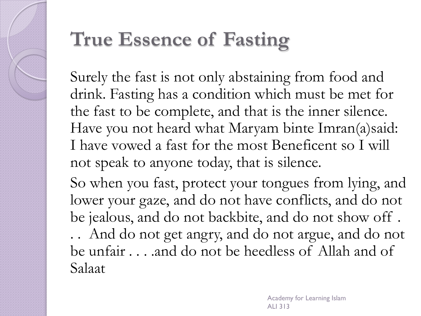#### **True Essence of Fasting**

Surely the fast is not only abstaining from food and drink. Fasting has a condition which must be met for the fast to be complete, and that is the inner silence. Have you not heard what Maryam binte Imran(a)said: I have vowed a fast for the most Beneficent so I will not speak to anyone today, that is silence.

So when you fast, protect your tongues from lying, and lower your gaze, and do not have conflicts, and do not be jealous, and do not backbite, and do not show off .

. . And do not get angry, and do not argue, and do not be unfair . . . .and do not be heedless of Allah and of Salaat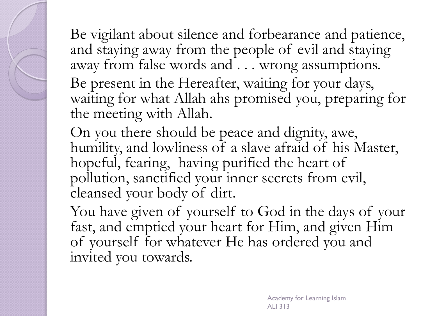Be vigilant about silence and forbearance and patience, and staying away from the people of evil and staying away from false words and . . . wrong assumptions.

Be present in the Hereafter, waiting for your days, waiting for what Allah ahs promised you, preparing for the meeting with Allah.

On you there should be peace and dignity, awe, humility, and lowliness of a slave afraid of his Master, hopeful, fearing, having purified the heart of pollution, sanctified your inner secrets from evil, cleansed your body of dirt.

You have given of yourself to God in the days of your fast, and emptied your heart for Him, and given Him of yourself for whatever He has ordered you and invited you towards.